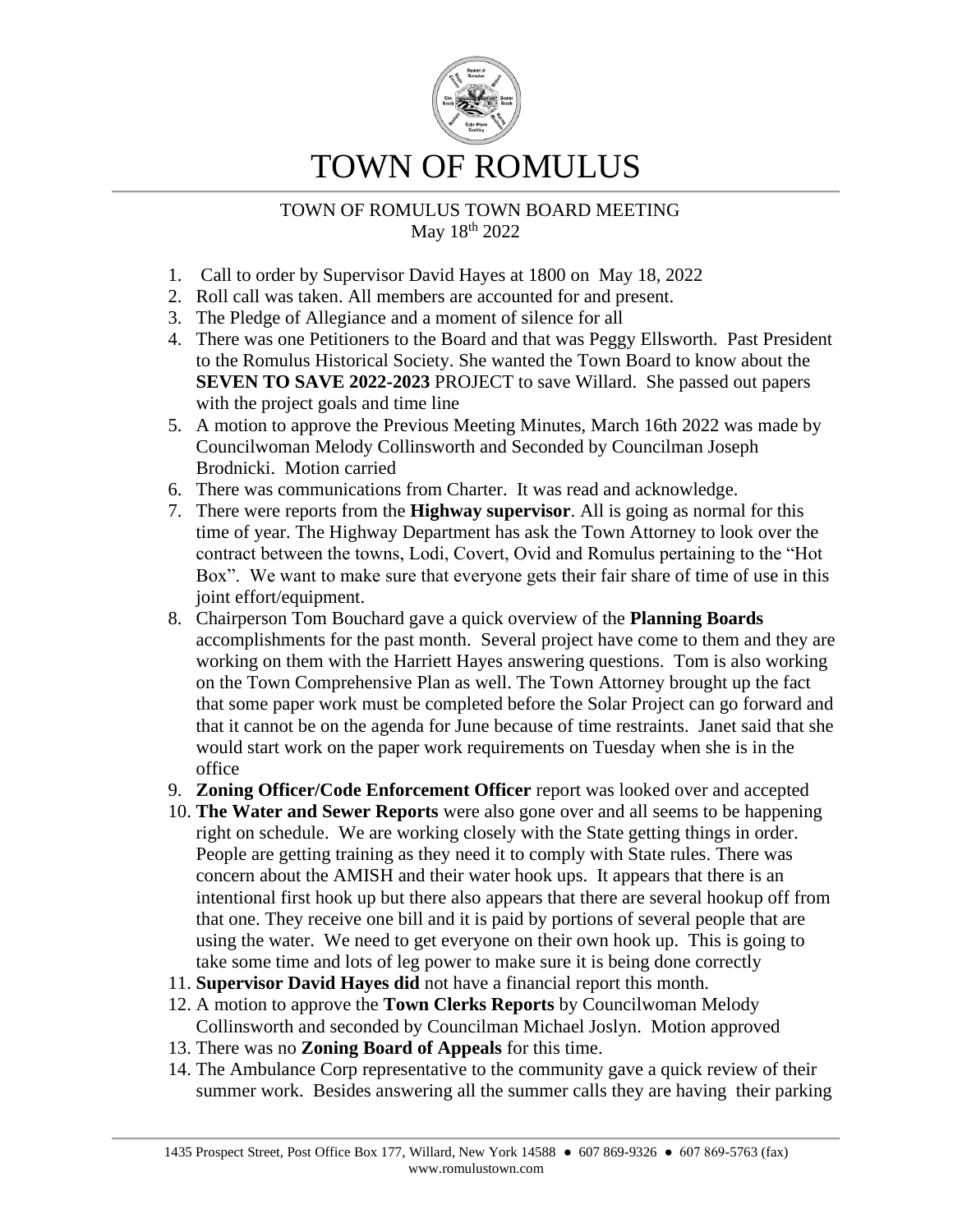

# TOWN OF ROMULUS TOWN BOARD MEETING May 18th 2022

- 1. Call to order by Supervisor David Hayes at 1800 on May 18, 2022
- 2. Roll call was taken. All members are accounted for and present.
- 3. The Pledge of Allegiance and a moment of silence for all
- 4. There was one Petitioners to the Board and that was Peggy Ellsworth. Past President to the Romulus Historical Society. She wanted the Town Board to know about the **SEVEN TO SAVE 2022-2023** PROJECT to save Willard. She passed out papers with the project goals and time line
- 5. A motion to approve the Previous Meeting Minutes, March 16th 2022 was made by Councilwoman Melody Collinsworth and Seconded by Councilman Joseph Brodnicki. Motion carried
- 6. There was communications from Charter. It was read and acknowledge.
- 7. There were reports from the **Highway supervisor**. All is going as normal for this time of year. The Highway Department has ask the Town Attorney to look over the contract between the towns, Lodi, Covert, Ovid and Romulus pertaining to the "Hot Box". We want to make sure that everyone gets their fair share of time of use in this joint effort/equipment.
- 8. Chairperson Tom Bouchard gave a quick overview of the **Planning Boards** accomplishments for the past month. Several project have come to them and they are working on them with the Harriett Hayes answering questions. Tom is also working on the Town Comprehensive Plan as well. The Town Attorney brought up the fact that some paper work must be completed before the Solar Project can go forward and that it cannot be on the agenda for June because of time restraints. Janet said that she would start work on the paper work requirements on Tuesday when she is in the office
- 9. **Zoning Officer/Code Enforcement Officer** report was looked over and accepted
- 10. **The Water and Sewer Reports** were also gone over and all seems to be happening right on schedule. We are working closely with the State getting things in order. People are getting training as they need it to comply with State rules. There was concern about the AMISH and their water hook ups. It appears that there is an intentional first hook up but there also appears that there are several hookup off from that one. They receive one bill and it is paid by portions of several people that are using the water. We need to get everyone on their own hook up. This is going to take some time and lots of leg power to make sure it is being done correctly
- 11. **Supervisor David Hayes did** not have a financial report this month.
- 12. A motion to approve the **Town Clerks Reports** by Councilwoman Melody Collinsworth and seconded by Councilman Michael Joslyn. Motion approved
- 13. There was no **Zoning Board of Appeals** for this time.
- 14. The Ambulance Corp representative to the community gave a quick review of their summer work. Besides answering all the summer calls they are having their parking